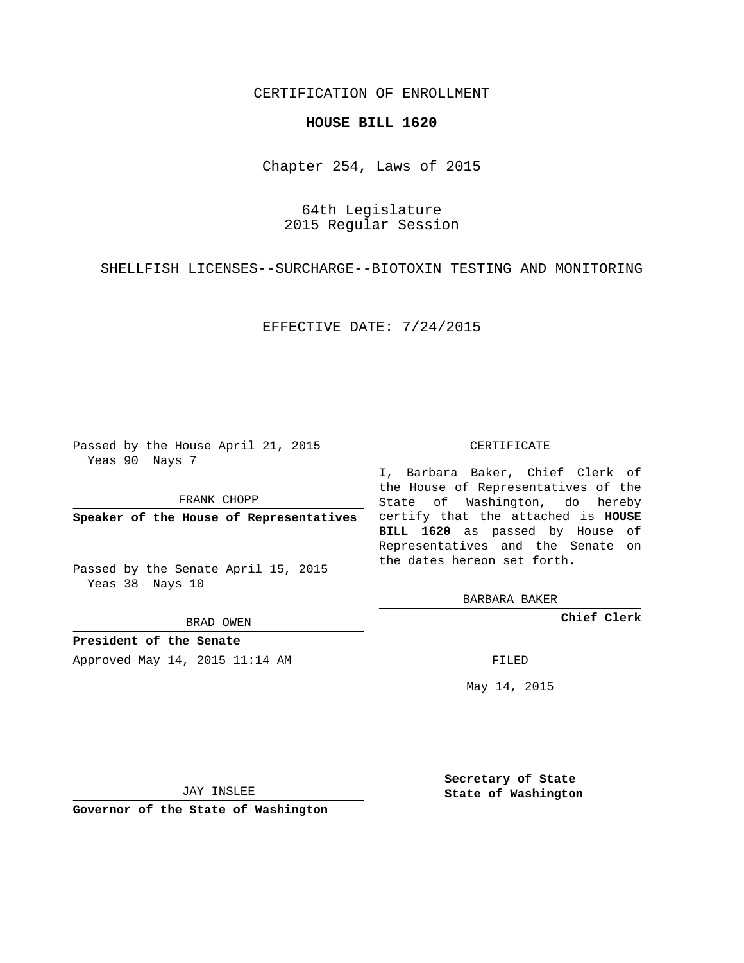## CERTIFICATION OF ENROLLMENT

#### **HOUSE BILL 1620**

Chapter 254, Laws of 2015

64th Legislature 2015 Regular Session

SHELLFISH LICENSES--SURCHARGE--BIOTOXIN TESTING AND MONITORING

EFFECTIVE DATE: 7/24/2015

Passed by the House April 21, 2015 Yeas 90 Nays 7

FRANK CHOPP

Passed by the Senate April 15, 2015 Yeas 38 Nays 10

BRAD OWEN

**President of the Senate**

Approved May 14, 2015 11:14 AM FILED

#### CERTIFICATE

**Speaker of the House of Representatives** certify that the attached is **HOUSE** I, Barbara Baker, Chief Clerk of the House of Representatives of the State of Washington, do hereby **BILL 1620** as passed by House of Representatives and the Senate on the dates hereon set forth.

BARBARA BAKER

**Chief Clerk**

May 14, 2015

JAY INSLEE

**Governor of the State of Washington**

**Secretary of State State of Washington**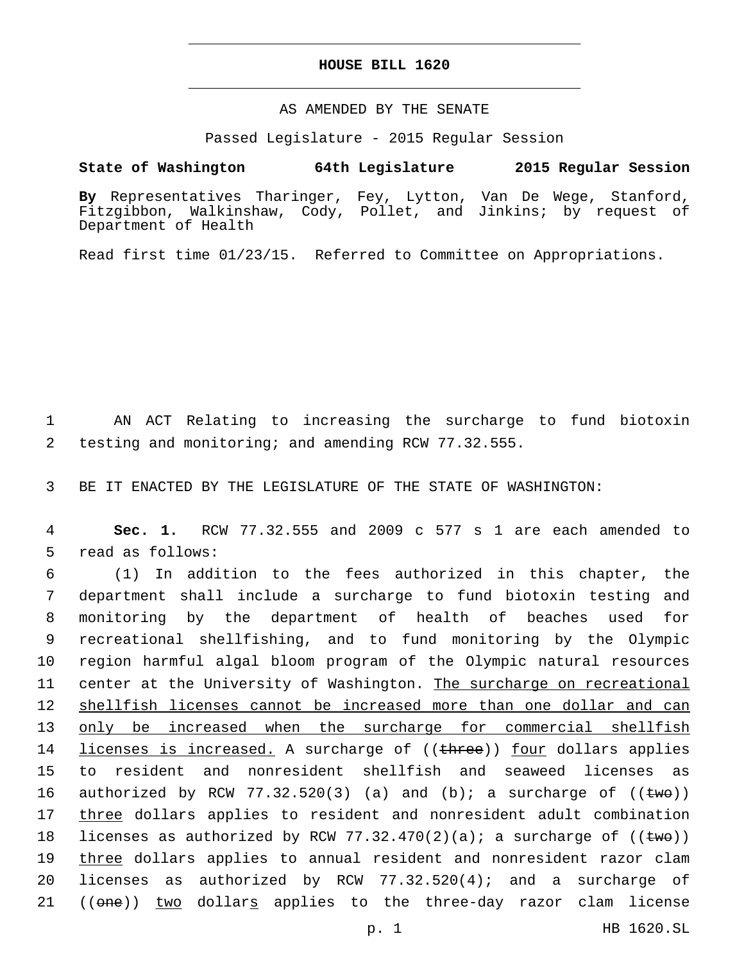### **HOUSE BILL 1620**

### AS AMENDED BY THE SENATE

Passed Legislature - 2015 Regular Session

# **State of Washington 64th Legislature 2015 Regular Session**

**By** Representatives Tharinger, Fey, Lytton, Van De Wege, Stanford, Fitzgibbon, Walkinshaw, Cody, Pollet, and Jinkins; by request of Department of Health

Read first time 01/23/15. Referred to Committee on Appropriations.

1 AN ACT Relating to increasing the surcharge to fund biotoxin 2 testing and monitoring; and amending RCW 77.32.555.

3 BE IT ENACTED BY THE LEGISLATURE OF THE STATE OF WASHINGTON:

4 **Sec. 1.** RCW 77.32.555 and 2009 c 577 s 1 are each amended to 5 read as follows:

 (1) In addition to the fees authorized in this chapter, the department shall include a surcharge to fund biotoxin testing and monitoring by the department of health of beaches used for recreational shellfishing, and to fund monitoring by the Olympic region harmful algal bloom program of the Olympic natural resources 11 center at the University of Washington. The surcharge on recreational shellfish licenses cannot be increased more than one dollar and can only be increased when the surcharge for commercial shellfish 14 licenses is increased. A surcharge of ((three)) four dollars applies to resident and nonresident shellfish and seaweed licenses as 16 authorized by RCW 77.32.520(3) (a) and (b); a surcharge of  $((\text{two}))$ 17 three dollars applies to resident and nonresident adult combination 18 licenses as authorized by RCW 77.32.470(2)(a); a surcharge of  $((\text{two}))$  three dollars applies to annual resident and nonresident razor clam licenses as authorized by RCW 77.32.520(4); and a surcharge of 21 ((one)) two dollars applies to the three-day razor clam license

p. 1 HB 1620.SL